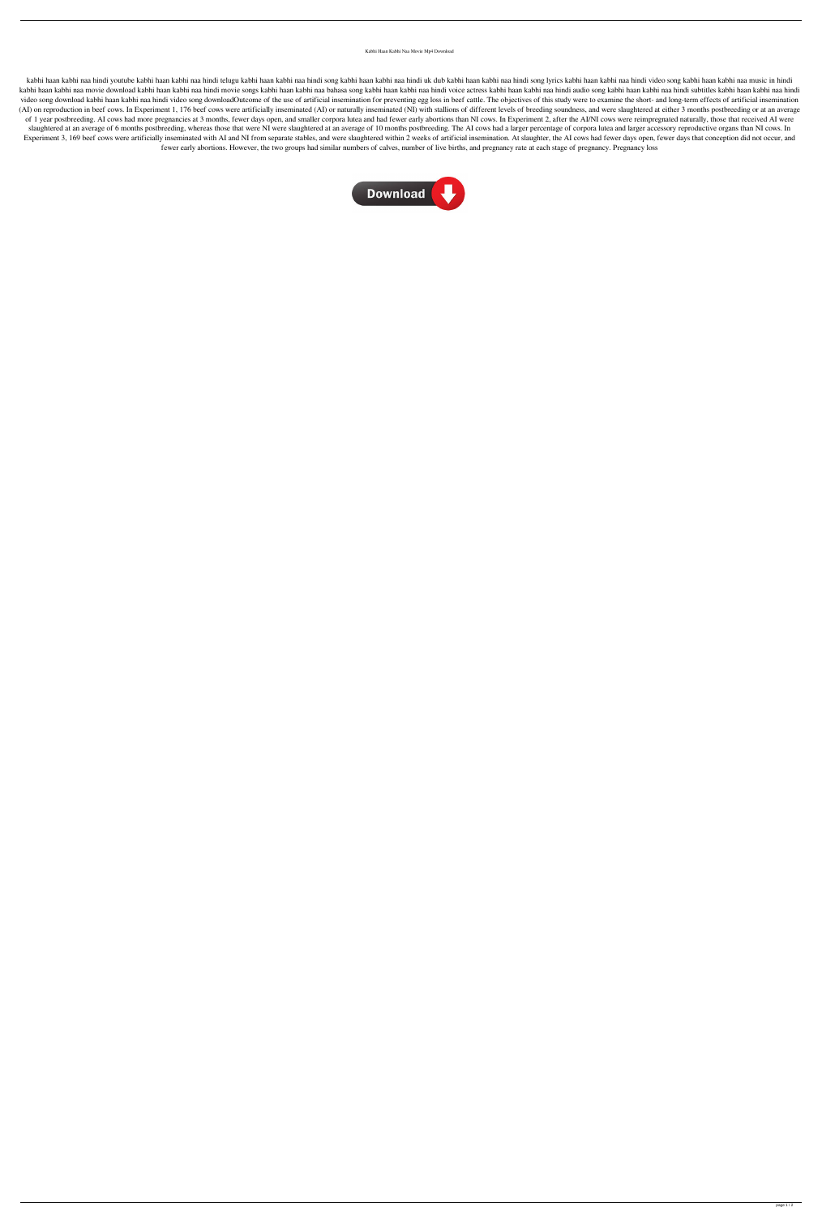Kabhi Haan Kabhi Naa Movie Mp4 Download

kabhi haan kabhi naa hindi youtube kabhi haan kabhi naa hindi telugu kabhi haan kabhi naa hindi uk dub kabhi haan kabhi naa hindi song lyrics kabhi haan kabhi naa hindi video song kabhi haan kabhi naa music in hindi kabhi haan kabhi naa movie download kabhi haan kabhi naa hindi movie songs kabhi haan kabhi naa hindi voice actres kabhi haan kabhi naa hindi audio song kabhi haan kabhi naa hindi subtitles kabhi haan kabhi naa hindi video song download kabhi haan kabhi naa hindi video song downloadOutcome of the use of artificial insemination for preventing egg loss in beef cattle. The objectives of this study were to examine the short- and long-term (AI) on reproduction in beef cows. In Experiment 1, 176 beef cows were artificially inseminated (AI) or naturally inseminated (NI) with stallions of different levels of breeding soundness, and were slaughtered at either 3 of 1 year postbreeding. AI cows had more pregnancies at 3 months, fewer days open, and smaller corpora lutea and had fewer early abortions than NI cows. In Experiment 2, after the AI/NI cows were reimpregnated naturally, t slaughtered at an average of 6 months postbreeding, whereas those that were NI were slaughtered at an average of 10 months postbreeding. The AI cows had a larger percentage of corpora lutea and larger accessory reproductiv Experiment 3, 169 beef cows were artificially inseminated with AI and NI from separate stables, and were slaughtered within 2 weeks of artificial insemination. At slaughter, the AI cows had fewer days open, fewer days that fewer early abortions. However, the two groups had similar numbers of calves, number of live births, and pregnancy rate at each stage of pregnancy. Pregnancy loss